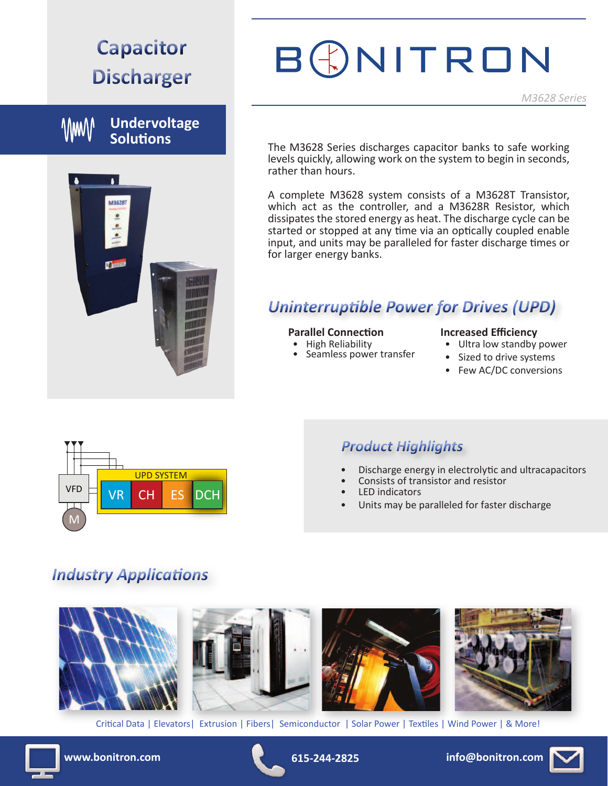# **Capacitor Discharger**

**Undervoltage VWW Solutions**

# $\blacksquare$ M36281

# BGNITRON

The M3628 Series discharges capacitor banks to safe working levels quickly, allowing work on the system to begin in seconds, rather than hours.

A complete M3628 system consists of a M3628T Transistor, which act as the controller, and a M3628R Resistor, which dissipates the stored energy as heat. The discharge cycle can be started or stopped at any time via an optically coupled enable input, and units may be paralleled for faster discharge times or for larger energy banks.

# *Uninterruptible Power for Drives (UPD)*

#### **Parallel Connection**

- 
- High Reliability<br>• Seamless power transfer

#### **Increased Efficiency**

- Ultra low standby power
- Sized to drive systems
- Few AC/DC conversions



### *Product Highlights*

- Discharge energy in electrolytic and ultracapacitors
- Consists of transistor and resistor
- LED indicators
- Units may be paralleled for faster discharge

# *Industry Applications*



Critical Data | Elevators| Extrusion | Fibers| Semiconductor | Solar Power | Textiles | Wind Power | & More!